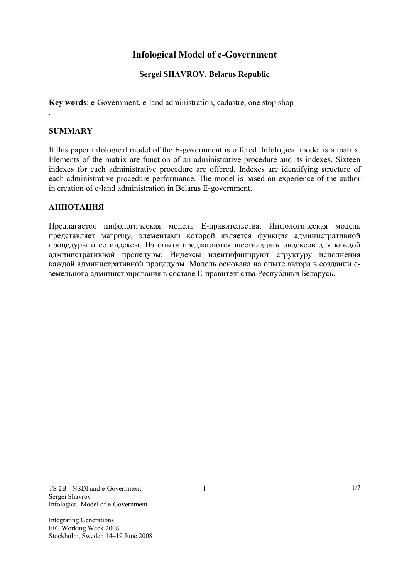# **Infological Model of e-Government**

## **Sergei SHAVROV, Belarus Republic**

**Key words**: e-Government, e-land administration, cadastre, one stop shop

### **SUMMARY**

.

It this paper infological model of the Е-government is offered. Infological model is a matrix. Elements of the matrix are function of an administrative procedure and its indexes. Sixteen indexes for each administrative procedure are offered. Indexes are identifying structure of each administrative procedure performance. The model is based on experience of the author in creation of е-land administration in Belarus Е-government.

#### **АННОТАЦИЯ**

Предлагается инфологическая модель Е-правительства. Инфологическая модель представляет матрицу, элементами которой является функция административной процедуры и ее индексы. Из опыта предлагаются шестнадцать индексов для каждой административной процедуры. Индексы идентифицируют структуру исполнения каждой административной процедуры. Модель основана на опыте автора в создании еземельного администрирования в составе Е-правительства Республики Беларусь.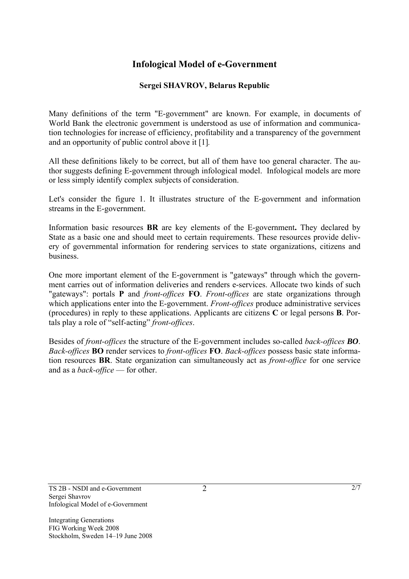# **Infological Model of e-Government**

## **Sergei SHAVROV, Belarus Republic**

Many definitions of the term "E-government" are known. For example, in documents of World Bank the electronic government is understood as use of information and communication technologies for increase of efficiency, profitability and a transparency of the government and an opportunity of public control above it [1]*.*

All these definitions likely to be correct, but all of them have too general character. The author suggests defining E-government through infological model. Infological models are more or less simply identify complex subjects of consideration.

Let's consider the figure 1. It illustrates structure of the Е-government and information streams in the Е-government.

Information basic resources **BR** are key elements of the Е-government**.** They declared by State as a basic one and should meet to certain requirements. These resources provide delivery of governmental information for rendering services to state organizations, citizens and business.

One more important element of the Е-government is "gateways" through which the government carries out of information deliveries and renders е-services. Allocate two kinds of such "gateways": portals **P** and *front-offices* **FO**. *Front-offices* are state organizations through which applications enter into the Е-government. *Front-offices* produce administrative services (procedures) in reply to these applications. Applicants are citizens **С** or legal persons **B**. Portals play a role of "self-acting" *front-offices*.

Besides of *front-offices* the structure of the Е-government includes so-called *back-offices BO*. *Back-offices* **BO** render services to *front-offices* **FO**. *Back-offices* possess basic state information resources **BR**. State organization can simultaneously act as *front-office* for one service and as a *back-office* — for other.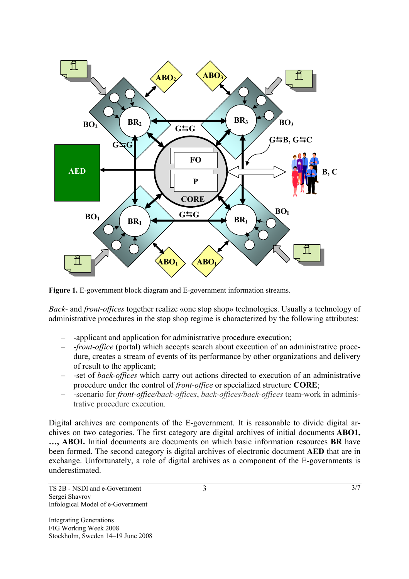

**Figure 1.** Е-government block diagram and Е-government information streams.

*Back-* and *front-offices* together realize «one stop shop» technologies. Usually a technology of administrative procedures in the stop shop regime is characterized by the following attributes:

- -applicant and application for administrative procedure execution;
- -*front-office* (portal) which accepts search about execution of an administrative procedure, creates a stream of events of its performance by other organizations and delivery of result to the applicant;
- -set of *back-offices* which carry out actions directed to execution of an administrative procedure under the control of *front-office* or specialized structure **CORE**;
- -scenario for *front-office/back-offices*, *back-offices/back-offices* team-work in administrative procedure execution.

Digital archives are components of the Е-government. It is reasonable to divide digital archives on two categories. The first category are digital archives of initial documents **ABO1, …, ABOI.** Initial documents are documents on which basic information resources **BR** have been formed. The second category is digital archives of electronic document **АЕD** that are in exchange. Unfortunately, a role of digital archives as a component of the Е-governments is underestimated.

3 3/7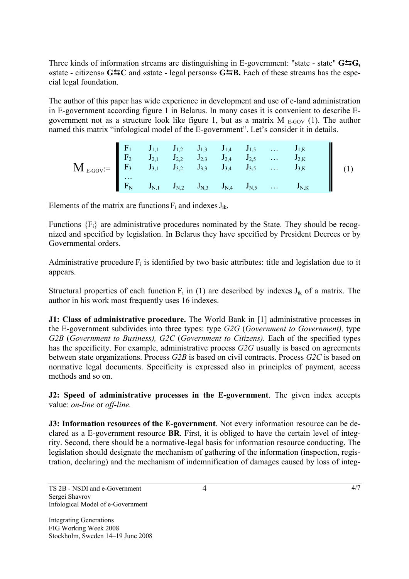Three kinds of information streams are distinguishing in E-government: "state - state" **G**'**G, «**state - citizens» **G**'**C** and «state - legal persons» **G**'**B.** Each of these streams has the especial legal foundation.

The author of this paper has wide experience in development and use of е-land administration in Е-government according figure 1 in Belarus. In many cases it is convenient to describe Еgovernment not as a structure look like figure 1, but as a matrix  $M_{E-GOV}$  (1). The author named this matrix "infological model of the Е-government". Let's consider it in details.

$$
\mathbf{M}_{E\text{-GOV}} = \begin{bmatrix} F_1 & J_{1,1} & J_{1,2} & J_{1,3} & J_{1,4} & J_{1,5} & \dots & J_{1,K} \\ F_2 & J_{2,1} & J_{2,2} & J_{2,3} & J_{2,4} & J_{2,5} & \dots & J_{2,K} \\ F_3 & J_{3,1} & J_{3,2} & J_{3,3} & J_{3,4} & J_{3,5} & \dots & J_{3,K} \\ \dots & & & & & & \\ \dots & & & & & & \\ \end{bmatrix} \tag{1}
$$

Elements of the matrix are functions  $F_i$  and indexes  $J_{ik}$ .

Functions {Fi} are administrative procedures nominated by the State. They should be recognized and specified by legislation. In Belarus they have specified by President Decrees or by Governmental orders.

Administrative procedure  $F_i$  is identified by two basic attributes: title and legislation due to it appears.

Structural properties of each function  $F_i$  in (1) are described by indexes  $J_{ik}$  of a matrix. The author in his work most frequently uses 16 indexes.

**J1: Class of administrative procedure.** The World Bank in [1] administrative processes in the Е-government subdivides into three types: type *G2G* (*Government to Government),* type *G2B* (*Government to Business), G2C* (*Government to Citizens).* Each of the specified types has the specificity. For example, administrative process *G2G* usually is based on agreements between state organizations. Process *G2B* is based on civil contracts. Process *G2C* is based on normative legal documents. Specificity is expressed also in principles of payment, access methods and so on.

**J2: Speed of administrative processes in the Е-government**. The given index accepts value: *on-line* or *off-line.* 

**J3: Information resources of the E-government**. Not every information resource can be declared as a Е-government resource **BR**. First, it is obliged to have the certain level of integrity. Second, there should be a normative-legal basis for information resource conducting. The legislation should designate the mechanism of gathering of the information (inspection, registration, declaring) and the mechanism of indemnification of damages caused by loss of integ-

4 a 4/7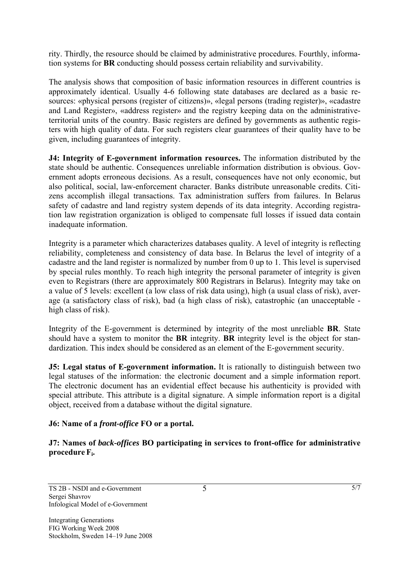rity. Thirdly, the resource should be claimed by administrative procedures. Fourthly, information systems for **BR** conducting should possess certain reliability and survivability.

The analysis shows that composition of basic information resources in different countries is approximately identical. Usually 4-6 following state databases are declared as a basic resources: «physical persons (register of citizens)», «legal persons (trading register)», «cadastre and Land Register», «address register» and the registry keeping data on the administrativeterritorial units of the country. Basic registers are defined by governments as authentic registers with high quality of data. For such registers clear guarantees of their quality have to be given, including guarantees of integrity.

**J4: Integrity of E-government information resources.** The information distributed by the state should be authentic. Consequences unreliable information distribution is obvious. Government adopts erroneous decisions. As a result, consequences have not only economic, but also political, social, law-enforcement character. Banks distribute unreasonable credits. Citizens accomplish illegal transactions. Tax administration suffers from failures. In Belarus safety of cadastre and land registry system depends of its data integrity. According registration law registration organization is obliged to compensate full losses if issued data contain inadequate information.

Integrity is a parameter which characterizes databases quality. A level of integrity is reflecting reliability, completeness and consistency of data base. In Belarus the level of integrity of a cadastre and the land register is normalized by number from 0 up to 1. This level is supervised by special rules monthly. To reach high integrity the personal parameter of integrity is given even to Registrars (there are approximately 800 Registrars in Belarus). Integrity may take on a value of 5 levels: excellent (a low class of risk data using), high (a usual class of risk), average (a satisfactory class of risk), bad (a high class of risk), catastrophic (an unacceptable high class of risk).

Integrity of the Е-government is determined by integrity of the most unreliable **BR**. State should have a system to monitor the **BR** integrity. **BR** integrity level is the object for standardization. This index should be considered as an element of the Е-government security.

**J5:** Legal status of E-government information. It is rationally to distinguish between two legal statuses of the information: the electronic document and a simple information report. The electronic document has an evidential effect because his authenticity is provided with special attribute. This attribute is a digital signature. A simple information report is a digital object, received from a database without the digital signature.

## **J6: Name of a** *front-office* **FO or a portal.**

**J7: Names of** *back-offices* **BO participating in services to front-office for administrative procedure Fi.**

5 5/7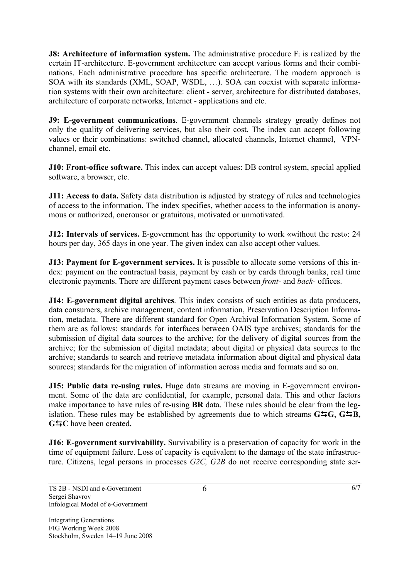**J8: Architecture of information system.** The administrative procedure F<sub>i</sub> is realized by the certain IT-architecture. Е-government architecture can accept various forms and their combinations. Each administrative procedure has specific architecture. The modern approach is SOA with its standards (XML, SOAP, WSDL, …). SOA can coexist with separate information systems with their own architecture: client - server, architecture for distributed databases, architecture of corporate networks, Internet - applications and etc.

**J9: Е-government communications**. Е-government channels strategy greatly defines not only the quality of delivering services, but also their cost. The index can accept following values or their combinations: switched channel, allocated channels, Internet channel, VPNchannel, email etc.

**J10: Front-office software.** This index can accept values: DB control system, special applied software, a browser, etc.

**J11: Access to data.** Safety data distribution is adjusted by strategy of rules and technologies of access to the information. The index specifies, whether access to the information is anonymous or authorized, onerousor or gratuitous, motivated or unmotivated.

**J12: Intervals of services.** E-government has the opportunity to work «without the rest»: 24 hours per day, 365 days in one year. The given index can also accept other values.

**J13: Payment for E-government services.** It is possible to allocate some versions of this index: payment on the contractual basis, payment by cash or by cards through banks, real time electronic payments. There are different payment cases between *front-* and *back-* offices.

**J14: Е-government digital archives**. This index consists of such entities as data producers, data consumers, archive management, content information, Preservation Description Information, metadata. There are different standard for Open Archival Information System. Some of them are as follows: standards for interfaces between OAIS type archives; standards for the submission of digital data sources to the archive; for the delivery of digital sources from the archive; for the submission of digital metadata; about digital or physical data sources to the archive; standards to search and retrieve metadata information about digital and physical data sources; standards for the migration of information across media and formats and so on.

**J15: Public data re-using rules.** Huge data streams are moving in Е-government environment. Some of the data are confidential, for example, personal data. This and other factors make importance to have rules of re-using **BR** data. These rules should be clear from the legislation. These rules may be established by agreements due to which streams **G**'**G**, **G**'**В, G**'**С** have been created**.** 

**J16: Е-government survivability.** Survivability is a preservation of capacity for work in the time of equipment failure. Loss of capacity is equivalent to the damage of the state infrastructure. Citizens, legal persons in processes *G2С, G2В* do not receive corresponding state ser-

6 6/7